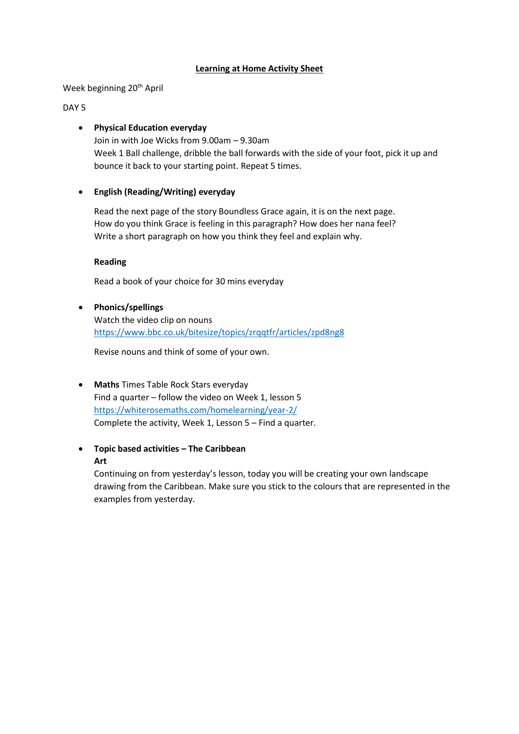### **Learning at Home Activity Sheet**

Week beginning 20<sup>th</sup> April

# DAY 5

## **Physical Education everyday**

Join in with Joe Wicks from 9.00am – 9.30am Week 1 Ball challenge, dribble the ball forwards with the side of your foot, pick it up and bounce it back to your starting point. Repeat 5 times.

# **English (Reading/Writing) everyday**

Read the next page of the story Boundless Grace again, it is on the next page. How do you think Grace is feeling in this paragraph? How does her nana feel? Write a short paragraph on how you think they feel and explain why.

#### **Reading**

Read a book of your choice for 30 mins everyday

 **Phonics/spellings** Watch the video clip on nouns <https://www.bbc.co.uk/bitesize/topics/zrqqtfr/articles/zpd8ng8>

Revise nouns and think of some of your own.

- **Maths** Times Table Rock Stars everyday Find a quarter – follow the video on Week 1, lesson 5 <https://whiterosemaths.com/homelearning/year-2/> Complete the activity, Week 1, Lesson 5 – Find a quarter.
- **Topic based activities – The Caribbean Art**

Continuing on from yesterday's lesson, today you will be creating your own landscape drawing from the Caribbean. Make sure you stick to the colours that are represented in the examples from yesterday.